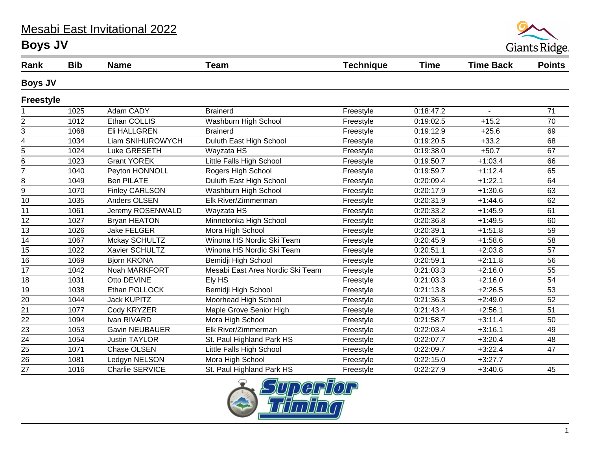## Mesabi East Invitational 2022 **Boys JV**



| Rank             | <b>Bib</b> | <b>Name</b>           | <b>Team</b>                      | <b>Technique</b> | <b>Time</b> | <b>Time Back</b> | <b>Points</b> |
|------------------|------------|-----------------------|----------------------------------|------------------|-------------|------------------|---------------|
| <b>Boys JV</b>   |            |                       |                                  |                  |             |                  |               |
| <b>Freestyle</b> |            |                       |                                  |                  |             |                  |               |
|                  | 1025       | Adam CADY             | <b>Brainerd</b>                  | Freestyle        | 0:18:47.2   | $\blacksquare$   | 71            |
| $\overline{c}$   | 1012       | Ethan COLLIS          | Washburn High School             | Freestyle        | 0:19:02.5   | $+15.2$          | 70            |
| 3                | 1068       | Eli HALLGREN          | <b>Brainerd</b>                  | Freestyle        | 0:19:12.9   | $+25.6$          | 69            |
| 4                | 1034       | Liam SNIHUROWYCH      | Duluth East High School          | Freestyle        | 0:19:20.5   | $+33.2$          | 68            |
| 5                | 1024       | Luke GRESETH          | Wayzata HS                       | Freestyle        | 0:19:38.0   | $+50.7$          | 67            |
| 6                | 1023       | <b>Grant YOREK</b>    | Little Falls High School         | Freestyle        | 0:19:50.7   | $+1:03.4$        | 66            |
| $\overline{7}$   | 1040       | Peyton HONNOLL        | Rogers High School               | Freestyle        | 0:19:59.7   | $+1:12.4$        | 65            |
| 8                | 1049       | <b>Ben PILATE</b>     | Duluth East High School          | Freestyle        | 0:20:09.4   | $+1:22.1$        | 64            |
| 9                | 1070       | <b>Finley CARLSON</b> | Washburn High School             | Freestyle        | 0:20:17.9   | $+1:30.6$        | 63            |
| 10               | 1035       | Anders OLSEN          | Elk River/Zimmerman              | Freestyle        | 0:20:31.9   | $+1:44.6$        | 62            |
| 11               | 1061       | Jeremy ROSENWALD      | Wayzata HS                       | Freestyle        | 0:20:33.2   | $+1:45.9$        | 61            |
| 12               | 1027       | <b>Bryan HEATON</b>   | Minnetonka High School           | Freestyle        | 0:20:36.8   | $+1:49.5$        | 60            |
| 13               | 1026       | <b>Jake FELGER</b>    | Mora High School                 | Freestyle        | 0:20:39.1   | $+1:51.8$        | 59            |
| 14               | 1067       | Mckay SCHULTZ         | Winona HS Nordic Ski Team        | Freestyle        | 0:20:45.9   | $+1:58.6$        | 58            |
| 15               | 1022       | Xavier SCHULTZ        | Winona HS Nordic Ski Team        | Freestyle        | 0:20:51.1   | $+2:03.8$        | 57            |
| 16               | 1069       | <b>Bjorn KRONA</b>    | Bemidji High School              | Freestyle        | 0:20:59.1   | $+2:11.8$        | 56            |
| 17               | 1042       | Noah MARKFORT         | Mesabi East Area Nordic Ski Team | Freestyle        | 0:21:03.3   | $+2:16.0$        | 55            |
| 18               | 1031       | Otto DEVINE           | Ely HS                           | Freestyle        | 0:21:03.3   | $+2:16.0$        | 54            |
| 19               | 1038       | Ethan POLLOCK         | Bemidji High School              | Freestyle        | 0:21:13.8   | $+2:26.5$        | 53            |
| 20               | 1044       | <b>Jack KUPITZ</b>    | Moorhead High School             | Freestyle        | 0:21:36.3   | $+2:49.0$        | 52            |
| 21               | 1077       | Cody KRYZER           | Maple Grove Senior High          | Freestyle        | 0:21:43.4   | $+2:56.1$        | 51            |
| 22               | 1094       | Ivan RIVARD           | Mora High School                 | Freestyle        | 0:21:58.7   | $+3:11.4$        | 50            |
| 23               | 1053       | <b>Gavin NEUBAUER</b> | Elk River/Zimmerman              | Freestyle        | 0:22:03.4   | $+3:16.1$        | 49            |
| 24               | 1054       | <b>Justin TAYLOR</b>  | St. Paul Highland Park HS        | Freestyle        | 0:22:07.7   | $+3:20.4$        | 48            |
| 25               | 1071       | Chase OLSEN           | Little Falls High School         | Freestyle        | 0:22:09.7   | $+3:22.4$        | 47            |
| 26               | 1081       | Ledgyn NELSON         | Mora High School                 | Freestyle        | 0:22:15.0   | $+3:27.7$        |               |
| 27               | 1016       | Charlie SERVICE       | St. Paul Highland Park HS        | Freestyle        | 0:22:27.9   | $+3:40.6$        | 45            |

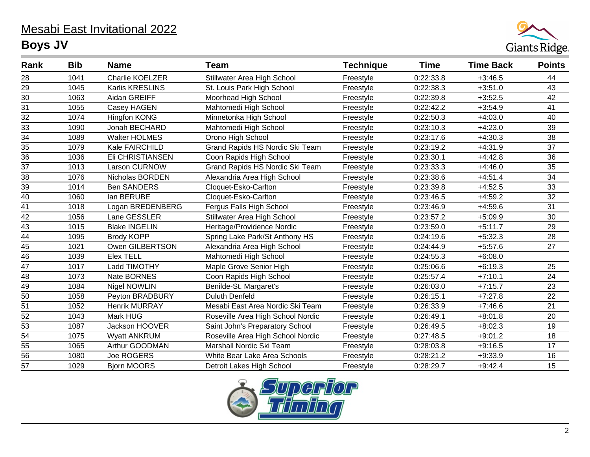## Mesabi East Invitational 2022 **Boys JV**



| Rank            | <b>Bib</b> | <b>Name</b>          | <b>Team</b>                       | <b>Technique</b> | <b>Time</b> | <b>Time Back</b> | <b>Points</b>   |
|-----------------|------------|----------------------|-----------------------------------|------------------|-------------|------------------|-----------------|
| 28              | 1041       | Charlie KOELZER      | Stillwater Area High School       | Freestyle        | 0:22:33.8   | $+3:46.5$        | 44              |
| 29              | 1045       | Karlis KRESLINS      | St. Louis Park High School        | Freestyle        | 0:22:38.3   | $+3:51.0$        | 43              |
| 30              | 1063       | Aidan GREIFF         | Moorhead High School              | Freestyle        | 0:22:39.8   | $+3:52.5$        | 42              |
| 31              | 1055       | Casey HAGEN          | Mahtomedi High School             | Freestyle        | 0:22:42.2   | $+3:54.9$        | 41              |
| 32              | 1074       | <b>Hingfon KONG</b>  | Minnetonka High School            | Freestyle        | 0:22:50.3   | $+4:03.0$        | 40              |
| 33              | 1090       | Jonah BECHARD        | Mahtomedi High School             | Freestyle        | 0:23:10.3   | $+4:23.0$        | 39              |
| $\overline{34}$ | 1089       | <b>Walter HOLMES</b> | Orono High School                 | Freestyle        | 0:23:17.6   | $+4:30.3$        | 38              |
| 35              | 1079       | Kale FAIRCHILD       | Grand Rapids HS Nordic Ski Team   | Freestyle        | 0:23:19.2   | $+4:31.9$        | 37              |
| $\overline{36}$ | 1036       | Eli CHRISTIANSEN     | Coon Rapids High School           | Freestyle        | 0:23:30.1   | $+4:42.8$        | 36              |
| 37              | 1013       | <b>Larson CURNOW</b> | Grand Rapids HS Nordic Ski Team   | Freestyle        | 0:23:33.3   | $+4:46.0$        | 35              |
| $\overline{38}$ | 1076       | Nicholas BORDEN      | Alexandria Area High School       | Freestyle        | 0:23:38.6   | $+4:51.4$        | $\overline{34}$ |
| 39              | 1014       | <b>Ben SANDERS</b>   | Cloquet-Esko-Carlton              | Freestyle        | 0:23:39.8   | $+4:52.5$        | 33              |
| $\overline{40}$ | 1060       | lan BERUBE           | Cloquet-Esko-Carlton              | Freestyle        | 0:23:46.5   | $+4:59.2$        | 32              |
| 41              | 1018       | Logan BREDENBERG     | Fergus Falls High School          | Freestyle        | 0:23:46.9   | $+4:59.6$        | 31              |
| $\overline{42}$ | 1056       | Lane GESSLER         | Stillwater Area High School       | Freestyle        | 0:23:57.2   | $+5:09.9$        | 30              |
| 43              | 1015       | <b>Blake INGELIN</b> | Heritage/Providence Nordic        | Freestyle        | 0:23:59.0   | $+5:11.7$        | 29              |
| $\overline{44}$ | 1095       | <b>Brody KOPP</b>    | Spring Lake Park/St Anthony HS    | Freestyle        | 0:24:19.6   | $+5:32.3$        | 28              |
| 45              | 1021       | Owen GILBERTSON      | Alexandria Area High School       | Freestyle        | 0:24:44.9   | $+5:57.6$        | 27              |
| $\overline{46}$ | 1039       | <b>Elex TELL</b>     | Mahtomedi High School             | Freestyle        | 0:24:55.3   | $+6:08.0$        |                 |
| 47              | 1017       | Ladd TIMOTHY         | Maple Grove Senior High           | Freestyle        | 0:25:06.6   | $+6:19.3$        | 25              |
| 48              | 1073       | Nate BORNES          | Coon Rapids High School           | Freestyle        | 0:25:57.4   | $+7:10.1$        | 24              |
| 49              | 1084       | <b>Nigel NOWLIN</b>  | Benilde-St. Margaret's            | Freestyle        | 0:26:03.0   | $+7:15.7$        | 23              |
| 50              | 1058       | Peyton BRADBURY      | <b>Duluth Denfeld</b>             | Freestyle        | 0:26:15.1   | $+7:27.8$        | 22              |
| 51              | 1052       | <b>Henrik MURRAY</b> | Mesabi East Area Nordic Ski Team  | Freestyle        | 0:26:33.9   | $+7:46.6$        | 21              |
| 52              | 1043       | Mark HUG             | Roseville Area High School Nordic | Freestyle        | 0:26:49.1   | $+8:01.8$        | 20              |
| $\overline{53}$ | 1087       | Jackson HOOVER       | Saint John's Preparatory School   | Freestyle        | 0:26:49.5   | $+8:02.3$        | 19              |
| 54              | 1075       | <b>Wyatt ANKRUM</b>  | Roseville Area High School Nordic | Freestyle        | 0:27:48.5   | $+9:01.2$        | 18              |
| 55              | 1065       | Arthur GOODMAN       | Marshall Nordic Ski Team          | Freestyle        | 0:28:03.8   | $+9:16.5$        | 17              |
| $\overline{56}$ | 1080       | <b>Joe ROGERS</b>    | White Bear Lake Area Schools      | Freestyle        | 0:28:21.2   | $+9:33.9$        | 16              |
| $\overline{57}$ | 1029       | <b>Bjorn MOORS</b>   | Detroit Lakes High School         | Freestyle        | 0:28:29.7   | $+9:42.4$        | 15              |